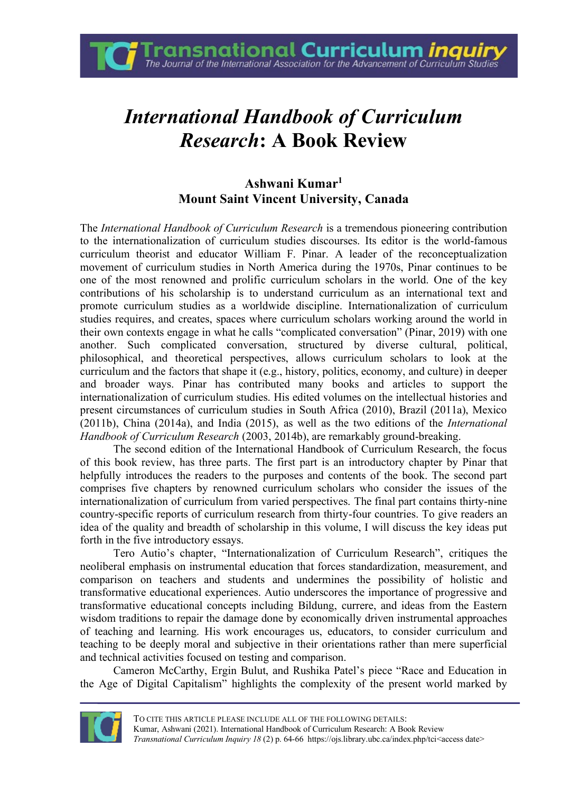**Fransnational Curriculum** *inquir*<br>The Journal of the International Association for the Advancement of Curriculum Studie

## *International Handbook of Curriculum Research***: A Book Review**

## **Ashwani Kumar<sup>1</sup> Mount Saint Vincent University, Canada**

The *International Handbook of Curriculum Research* is a tremendous pioneering contribution to the internationalization of curriculum studies discourses. Its editor is the world-famous curriculum theorist and educator William F. Pinar. A leader of the reconceptualization movement of curriculum studies in North America during the 1970s, Pinar continues to be one of the most renowned and prolific curriculum scholars in the world. One of the key contributions of his scholarship is to understand curriculum as an international text and promote curriculum studies as a worldwide discipline. Internationalization of curriculum studies requires, and creates, spaces where curriculum scholars working around the world in their own contexts engage in what he calls "complicated conversation" (Pinar, 2019) with one another. Such complicated conversation, structured by diverse cultural, political, philosophical, and theoretical perspectives, allows curriculum scholars to look at the curriculum and the factors that shape it (e.g., history, politics, economy, and culture) in deeper and broader ways. Pinar has contributed many books and articles to support the internationalization of curriculum studies. His edited volumes on the intellectual histories and present circumstances of curriculum studies in South Africa (2010), Brazil (2011a), Mexico (2011b), China (2014a), and India (2015), as well as the two editions of the *International Handbook of Curriculum Research* (2003, 2014b), are remarkably ground-breaking.

The second edition of the International Handbook of Curriculum Research, the focus of this book review, has three parts. The first part is an introductory chapter by Pinar that helpfully introduces the readers to the purposes and contents of the book. The second part comprises five chapters by renowned curriculum scholars who consider the issues of the internationalization of curriculum from varied perspectives. The final part contains thirty-nine country-specific reports of curriculum research from thirty-four countries. To give readers an idea of the quality and breadth of scholarship in this volume, I will discuss the key ideas put forth in the five introductory essays.

Tero Autio's chapter, "Internationalization of Curriculum Research", critiques the neoliberal emphasis on instrumental education that forces standardization, measurement, and comparison on teachers and students and undermines the possibility of holistic and transformative educational experiences. Autio underscores the importance of progressive and transformative educational concepts including Bildung, currere, and ideas from the Eastern wisdom traditions to repair the damage done by economically driven instrumental approaches of teaching and learning. His work encourages us, educators, to consider curriculum and teaching to be deeply moral and subjective in their orientations rather than mere superficial and technical activities focused on testing and comparison.

Cameron McCarthy, Ergin Bulut, and Rushika Patel's piece "Race and Education in the Age of Digital Capitalism" highlights the complexity of the present world marked by

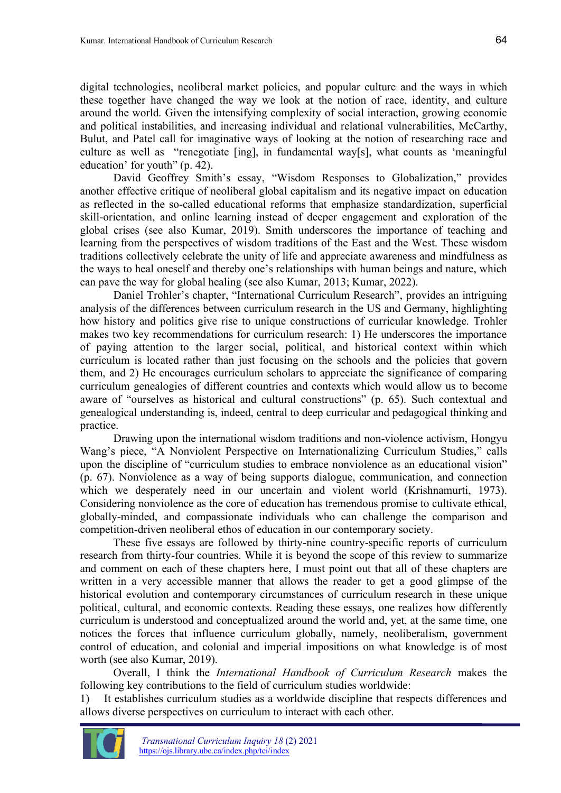digital technologies, neoliberal market policies, and popular culture and the ways in which these together have changed the way we look at the notion of race, identity, and culture around the world. Given the intensifying complexity of social interaction, growing economic and political instabilities, and increasing individual and relational vulnerabilities, McCarthy, Bulut, and Patel call for imaginative ways of looking at the notion of researching race and culture as well as "renegotiate [ing], in fundamental way[s], what counts as 'meaningful education' for youth" (p. 42).

David Geoffrey Smith's essay, "Wisdom Responses to Globalization," provides another effective critique of neoliberal global capitalism and its negative impact on education as reflected in the so-called educational reforms that emphasize standardization, superficial skill-orientation, and online learning instead of deeper engagement and exploration of the global crises (see also Kumar, 2019). Smith underscores the importance of teaching and learning from the perspectives of wisdom traditions of the East and the West. These wisdom traditions collectively celebrate the unity of life and appreciate awareness and mindfulness as the ways to heal oneself and thereby one's relationships with human beings and nature, which can pave the way for global healing (see also Kumar, 2013; Kumar, 2022).

Daniel Trohler's chapter, "International Curriculum Research", provides an intriguing analysis of the differences between curriculum research in the US and Germany, highlighting how history and politics give rise to unique constructions of curricular knowledge. Trohler makes two key recommendations for curriculum research: 1) He underscores the importance of paying attention to the larger social, political, and historical context within which curriculum is located rather than just focusing on the schools and the policies that govern them, and 2) He encourages curriculum scholars to appreciate the significance of comparing curriculum genealogies of different countries and contexts which would allow us to become aware of "ourselves as historical and cultural constructions" (p. 65). Such contextual and genealogical understanding is, indeed, central to deep curricular and pedagogical thinking and practice.

Drawing upon the international wisdom traditions and non-violence activism, Hongyu Wang's piece, "A Nonviolent Perspective on Internationalizing Curriculum Studies," calls upon the discipline of "curriculum studies to embrace nonviolence as an educational vision" (p. 67). Nonviolence as a way of being supports dialogue, communication, and connection which we desperately need in our uncertain and violent world (Krishnamurti, 1973). Considering nonviolence as the core of education has tremendous promise to cultivate ethical, globally-minded, and compassionate individuals who can challenge the comparison and competition-driven neoliberal ethos of education in our contemporary society.

These five essays are followed by thirty-nine country-specific reports of curriculum research from thirty-four countries. While it is beyond the scope of this review to summarize and comment on each of these chapters here, I must point out that all of these chapters are written in a very accessible manner that allows the reader to get a good glimpse of the historical evolution and contemporary circumstances of curriculum research in these unique political, cultural, and economic contexts. Reading these essays, one realizes how differently curriculum is understood and conceptualized around the world and, yet, at the same time, one notices the forces that influence curriculum globally, namely, neoliberalism, government control of education, and colonial and imperial impositions on what knowledge is of most worth (see also Kumar, 2019).

Overall, I think the *International Handbook of Curriculum Research* makes the following key contributions to the field of curriculum studies worldwide:

1) It establishes curriculum studies as a worldwide discipline that respects differences and allows diverse perspectives on curriculum to interact with each other.

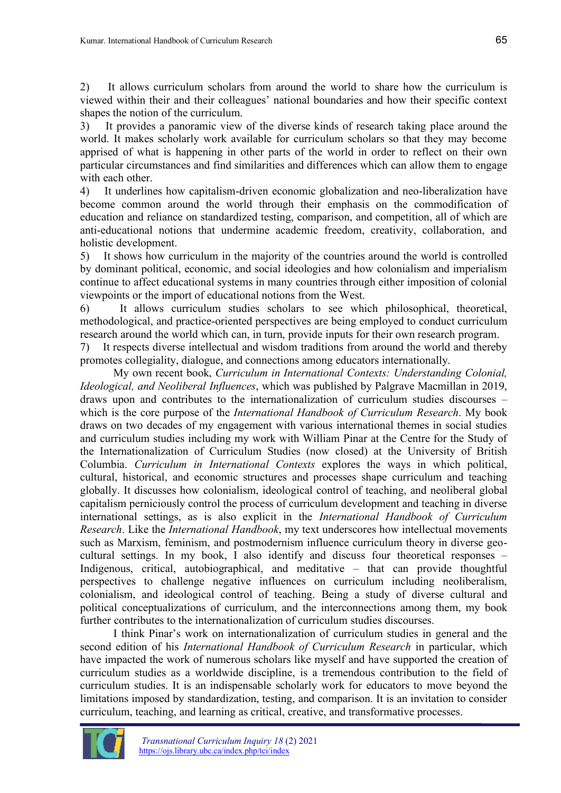2) It allows curriculum scholars from around the world to share how the curriculum is viewed within their and their colleagues' national boundaries and how their specific context shapes the notion of the curriculum.

3) It provides a panoramic view of the diverse kinds of research taking place around the world. It makes scholarly work available for curriculum scholars so that they may become apprised of what is happening in other parts of the world in order to reflect on their own particular circumstances and find similarities and differences which can allow them to engage with each other.

4) It underlines how capitalism-driven economic globalization and neo-liberalization have become common around the world through their emphasis on the commodification of education and reliance on standardized testing, comparison, and competition, all of which are anti-educational notions that undermine academic freedom, creativity, collaboration, and holistic development.

5) It shows how curriculum in the majority of the countries around the world is controlled by dominant political, economic, and social ideologies and how colonialism and imperialism continue to affect educational systems in many countries through either imposition of colonial viewpoints or the import of educational notions from the West.

6) It allows curriculum studies scholars to see which philosophical, theoretical, methodological, and practice-oriented perspectives are being employed to conduct curriculum research around the world which can, in turn, provide inputs for their own research program.

7) It respects diverse intellectual and wisdom traditions from around the world and thereby promotes collegiality, dialogue, and connections among educators internationally.

My own recent book, *Curriculum in International Contexts: Understanding Colonial, Ideological, and Neoliberal Influences*, which was published by Palgrave Macmillan in 2019, draws upon and contributes to the internationalization of curriculum studies discourses – which is the core purpose of the *International Handbook of Curriculum Research*. My book draws on two decades of my engagement with various international themes in social studies and curriculum studies including my work with William Pinar at the Centre for the Study of the Internationalization of Curriculum Studies (now closed) at the University of British Columbia. *Curriculum in International Contexts* explores the ways in which political, cultural, historical, and economic structures and processes shape curriculum and teaching globally. It discusses how colonialism, ideological control of teaching, and neoliberal global capitalism perniciously control the process of curriculum development and teaching in diverse international settings, as is also explicit in the *International Handbook of Curriculum Research*. Like the *International Handbook*, my text underscores how intellectual movements such as Marxism, feminism, and postmodernism influence curriculum theory in diverse geocultural settings. In my book, I also identify and discuss four theoretical responses – Indigenous, critical, autobiographical, and meditative – that can provide thoughtful perspectives to challenge negative influences on curriculum including neoliberalism, colonialism, and ideological control of teaching. Being a study of diverse cultural and political conceptualizations of curriculum, and the interconnections among them, my book further contributes to the internationalization of curriculum studies discourses.

I think Pinar's work on internationalization of curriculum studies in general and the second edition of his *International Handbook of Curriculum Research* in particular, which have impacted the work of numerous scholars like myself and have supported the creation of curriculum studies as a worldwide discipline, is a tremendous contribution to the field of curriculum studies. It is an indispensable scholarly work for educators to move beyond the limitations imposed by standardization, testing, and comparison. It is an invitation to consider curriculum, teaching, and learning as critical, creative, and transformative processes.